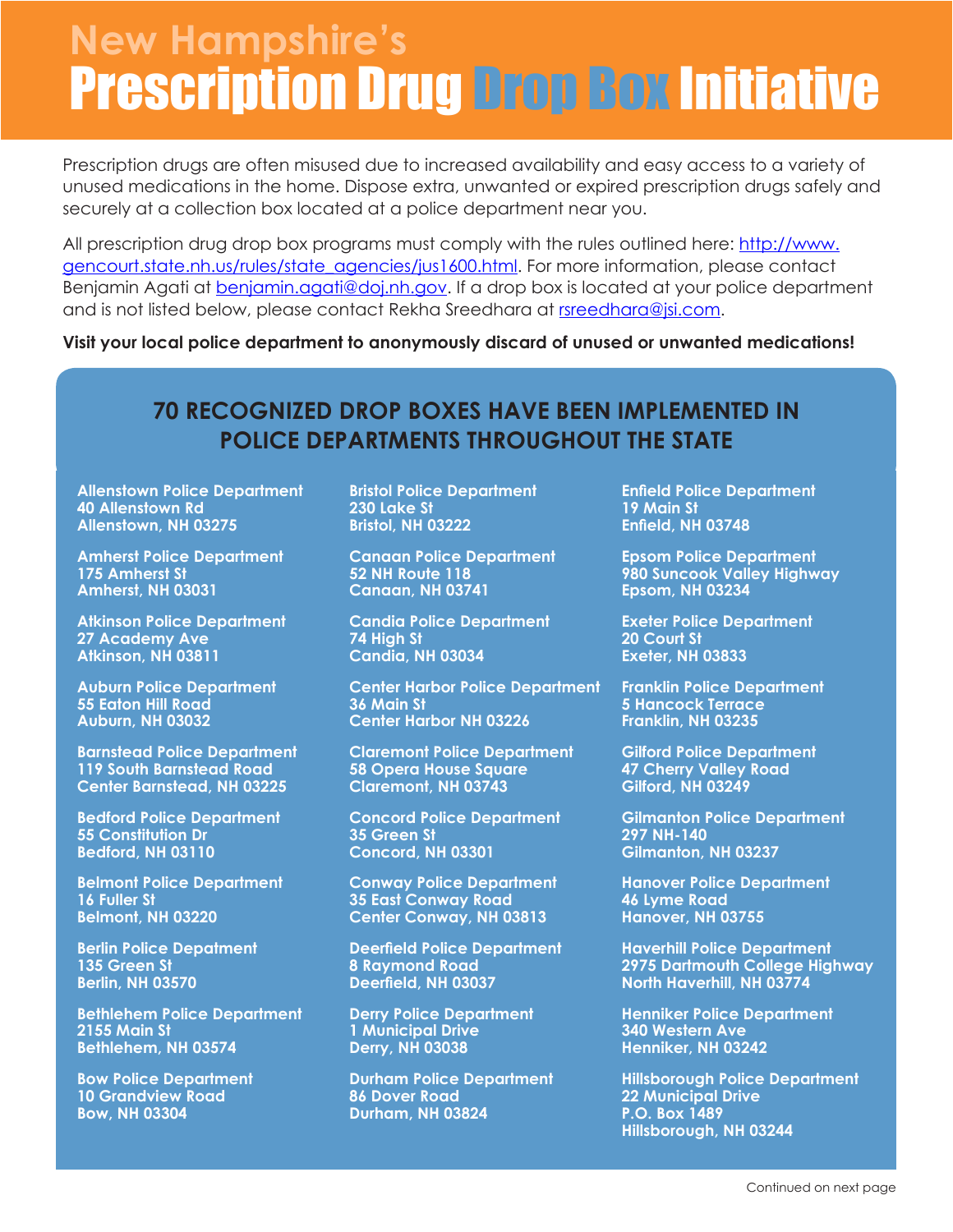## Prescription Drug Drop Box Initiative **New Hampshire's**

Prescription drugs are often misused due to increased availability and easy access to a variety of unused medications in the home. Dispose extra, unwanted or expired prescription drugs safely and securely at a collection box located at a police department near you.

All prescription drug drop box programs must comply with the rules outlined here: http://www. gencourt.state.nh.us/rules/state\_agencies/jus1600.html. For more information, please contact Benjamin Agati at benjamin.agati@doj.nh.gov. If a drop box is located at your police department and is not listed below, please contact Rekha Sreedhara at rsreedhara@jsi.com.

**Visit your local police department to anonymously discard of unused or unwanted medications!**

## **70 RECOGNIZED DROP BOXES HAVE BEEN IMPLEMENTED IN POLICE DEPARTMENTS THROUGHOUT THE STATE**

**Allenstown Police Department 40 Allenstown Rd Allenstown, NH 03275**

**Amherst Police Department 175 Amherst St Amherst, NH 03031**

**Atkinson Police Department 27 Academy Ave Atkinson, NH 03811**

**Auburn Police Department 55 Eaton Hill Road Auburn, NH 03032**

**Barnstead Police Department 119 South Barnstead Road Center Barnstead, NH 03225**

**Bedford Police Department 55 Constitution Dr Bedford, NH 03110**

**Belmont Police Department 16 Fuller St Belmont, NH 03220**

**Berlin Police Depatment 135 Green St Berlin, NH 03570**

**Bethlehem Police Department 2155 Main St Bethlehem, NH 03574**

**Bow Police Department 10 Grandview Road Bow, NH 03304**

**Bristol Police Department 230 Lake St Bristol, NH 03222**

**Canaan Police Department 52 NH Route 118 Canaan, NH 03741**

**Candia Police Department 74 High St Candia, NH 03034**

**Center Harbor Police Department 36 Main St Center Harbor NH 03226**

**Claremont Police Department 58 Opera House Square Claremont, NH 03743**

**Concord Police Department 35 Green St Concord, NH 03301**

**Conway Police Department 35 East Conway Road Center Conway, NH 03813**

**Deerfield Police Department 8 Raymond Road Deerfield, NH 03037**

**Derry Police Department 1 Municipal Drive Derry, NH 03038**

**Durham Police Department 86 Dover Road Durham, NH 03824**

**Enfield Police Department 19 Main St Enfield, NH 03748**

**Epsom Police Department 980 Suncook Valley Highway Epsom, NH 03234**

**Exeter Police Department 20 Court St Exeter, NH 03833**

**Franklin Police Department 5 Hancock Terrace Franklin, NH 03235**

**Gilford Police Department 47 Cherry Valley Road Gilford, NH 03249**

**Gilmanton Police Department 297 NH-140 Gilmanton, NH 03237**

**Hanover Police Department 46 Lyme Road Hanover, NH 03755**

**Haverhill Police Department 2975 Dartmouth College Highway North Haverhill, NH 03774**

**Henniker Police Department 340 Western Ave Henniker, NH 03242**

**Hillsborough Police Department 22 Municipal Drive P.O. Box 1489 Hillsborough, NH 03244**